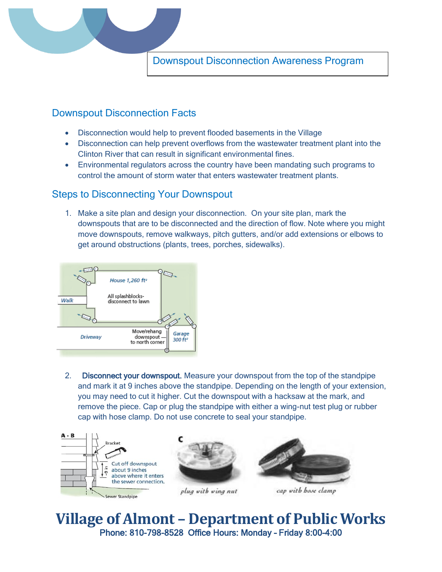

Downspout Disconnection Awareness Program

## Downspout Disconnection Facts

- Disconnection would help to prevent flooded basements in the Village
- Disconnection can help prevent overflows from the wastewater treatment plant into the Clinton River that can result in significant environmental fines.
- Environmental regulators across the country have been mandating such programs to control the amount of storm water that enters wastewater treatment plants.

## Steps to Disconnecting Your Downspout

1. Make a site plan and design your disconnection. On your site plan, mark the downspouts that are to be disconnected and the direction of flow. Note where you might move downspouts, remove walkways, pitch gutters, and/or add extensions or elbows to get around obstructions (plants, trees, porches, sidewalks).



2. Disconnect your downspout. Measure your downspout from the top of the standpipe and mark it at 9 inches above the standpipe. Depending on the length of your extension, you may need to cut it higher. Cut the downspout with a hacksaw at the mark, and remove the piece. Cap or plug the standpipe with either a wing-nut test plug or rubber cap with hose clamp. Do not use concrete to seal your standpipe.



**Village of Almont – Department of Public Works** Phone: 810-798-8528 Office Hours: Monday – Friday 8:00-4:00